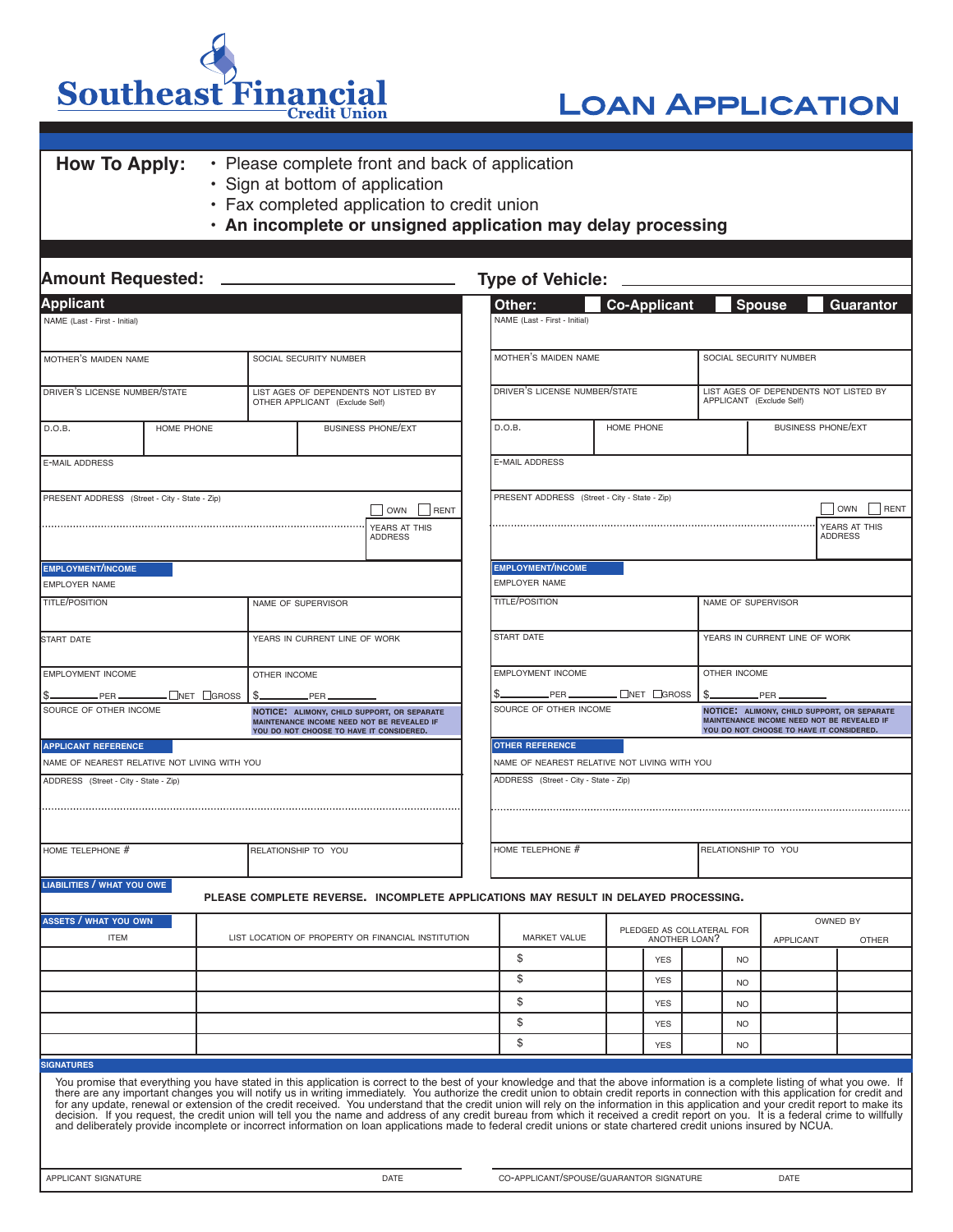Southeast Financial **Credit Union** 

## Loan Application

### **How To Apply:** • Please complete front and back of application

- Sign at bottom of application
- Fax completed application to credit union
- **• An incomplete or unsigned application may delay processing**

| <b>Amount Requested:</b>                                                                                                                                          |                                              |                                                    |                                                                                                                                                                                                                                                                                                                                                                                                                                                                                                                                                                                                                                                                                                                                                                                                                                                                                                                                  | <b>Type of Vehicle:</b>                          |                                            |  |                                                                   |                                                                                                                                               |                                 |  |  |  |
|-------------------------------------------------------------------------------------------------------------------------------------------------------------------|----------------------------------------------|----------------------------------------------------|----------------------------------------------------------------------------------------------------------------------------------------------------------------------------------------------------------------------------------------------------------------------------------------------------------------------------------------------------------------------------------------------------------------------------------------------------------------------------------------------------------------------------------------------------------------------------------------------------------------------------------------------------------------------------------------------------------------------------------------------------------------------------------------------------------------------------------------------------------------------------------------------------------------------------------|--------------------------------------------------|--------------------------------------------|--|-------------------------------------------------------------------|-----------------------------------------------------------------------------------------------------------------------------------------------|---------------------------------|--|--|--|
| <b>Applicant</b>                                                                                                                                                  |                                              |                                                    | Other:                                                                                                                                                                                                                                                                                                                                                                                                                                                                                                                                                                                                                                                                                                                                                                                                                                                                                                                           | <b>Co-Applicant</b>                              |                                            |  | <b>Spouse</b><br>Guarantor                                        |                                                                                                                                               |                                 |  |  |  |
| NAME (Last - First - Initial)                                                                                                                                     |                                              |                                                    |                                                                                                                                                                                                                                                                                                                                                                                                                                                                                                                                                                                                                                                                                                                                                                                                                                                                                                                                  | NAME (Last - First - Initial)                    |                                            |  |                                                                   |                                                                                                                                               |                                 |  |  |  |
| SOCIAL SECURITY NUMBER<br>MOTHER'S MAIDEN NAME                                                                                                                    |                                              |                                                    |                                                                                                                                                                                                                                                                                                                                                                                                                                                                                                                                                                                                                                                                                                                                                                                                                                                                                                                                  | MOTHER'S MAIDEN NAME                             |                                            |  | SOCIAL SECURITY NUMBER                                            |                                                                                                                                               |                                 |  |  |  |
| DRIVER'S LICENSE NUMBER/STATE                                                                                                                                     |                                              |                                                    | LIST AGES OF DEPENDENTS NOT LISTED BY<br>OTHER APPLICANT (Exclude Self)                                                                                                                                                                                                                                                                                                                                                                                                                                                                                                                                                                                                                                                                                                                                                                                                                                                          | DRIVER'S LICENSE NUMBER/STATE                    |                                            |  | LIST AGES OF DEPENDENTS NOT LISTED BY<br>APPLICANT (Exclude Self) |                                                                                                                                               |                                 |  |  |  |
| D.O.B.                                                                                                                                                            | HOME PHONE                                   |                                                    | <b>BUSINESS PHONE/EXT</b>                                                                                                                                                                                                                                                                                                                                                                                                                                                                                                                                                                                                                                                                                                                                                                                                                                                                                                        | D.O.B.                                           | HOME PHONE                                 |  | <b>BUSINESS PHONE/EXT</b>                                         |                                                                                                                                               |                                 |  |  |  |
| <b>E-MAIL ADDRESS</b>                                                                                                                                             |                                              |                                                    |                                                                                                                                                                                                                                                                                                                                                                                                                                                                                                                                                                                                                                                                                                                                                                                                                                                                                                                                  | <b>E-MAIL ADDRESS</b>                            |                                            |  |                                                                   |                                                                                                                                               |                                 |  |  |  |
| PRESENT ADDRESS (Street - City - State - Zip)                                                                                                                     |                                              |                                                    | OWN<br>RENT                                                                                                                                                                                                                                                                                                                                                                                                                                                                                                                                                                                                                                                                                                                                                                                                                                                                                                                      | PRESENT ADDRESS (Street - City - State - Zip)    |                                            |  |                                                                   |                                                                                                                                               | <b>OWN</b><br>RENT              |  |  |  |
|                                                                                                                                                                   |                                              |                                                    | YEARS AT THIS<br>ADDRESS                                                                                                                                                                                                                                                                                                                                                                                                                                                                                                                                                                                                                                                                                                                                                                                                                                                                                                         |                                                  |                                            |  |                                                                   |                                                                                                                                               | YEARS AT THIS<br><b>ADDRESS</b> |  |  |  |
| <b>EMPLOYMENT/INCOME</b><br><b>EMPLOYER NAME</b>                                                                                                                  |                                              |                                                    |                                                                                                                                                                                                                                                                                                                                                                                                                                                                                                                                                                                                                                                                                                                                                                                                                                                                                                                                  | <b>EMPLOYMENT/INCOME</b><br><b>EMPLOYER NAME</b> |                                            |  |                                                                   |                                                                                                                                               |                                 |  |  |  |
| <b>TITLE/POSITION</b>                                                                                                                                             |                                              |                                                    | NAME OF SUPERVISOR                                                                                                                                                                                                                                                                                                                                                                                                                                                                                                                                                                                                                                                                                                                                                                                                                                                                                                               | <b>TITLE/POSITION</b>                            |                                            |  | NAME OF SUPERVISOR                                                |                                                                                                                                               |                                 |  |  |  |
| <b>START DATE</b>                                                                                                                                                 |                                              |                                                    | YEARS IN CURRENT LINE OF WORK                                                                                                                                                                                                                                                                                                                                                                                                                                                                                                                                                                                                                                                                                                                                                                                                                                                                                                    | START DATE                                       | YEARS IN CURRENT LINE OF WORK              |  |                                                                   |                                                                                                                                               |                                 |  |  |  |
| <b>EMPLOYMENT INCOME</b>                                                                                                                                          |                                              | OTHER INCOME                                       |                                                                                                                                                                                                                                                                                                                                                                                                                                                                                                                                                                                                                                                                                                                                                                                                                                                                                                                                  | EMPLOYMENT INCOME<br>OTHER INCOME                |                                            |  |                                                                   |                                                                                                                                               |                                 |  |  |  |
| LNET □GROSS<br>$.$ PER $-$<br>\$.<br>.PER.<br>SOURCE OF OTHER INCOME<br>NOTICE: ALIMONY, CHILD SUPPORT, OR SEPARATE<br>MAINTENANCE INCOME NEED NOT BE REVEALED IF |                                              |                                                    | $.$ PER $\_\_$                                                                                                                                                                                                                                                                                                                                                                                                                                                                                                                                                                                                                                                                                                                                                                                                                                                                                                                   | .□NET □GROSS<br>\$.<br>SOURCE OF OTHER INCOME    |                                            |  |                                                                   | .PER<br>NOTICE: ALIMONY, CHILD SUPPORT, OR SEPARATE<br>MAINTENANCE INCOME NEED NOT BE REVEALED IF<br>YOU DO NOT CHOOSE TO HAVE IT CONSIDERED. |                                 |  |  |  |
| <b>APPLICANT REFERENCE</b>                                                                                                                                        |                                              |                                                    | YOU DO NOT CHOOSE TO HAVE IT CONSIDERED.                                                                                                                                                                                                                                                                                                                                                                                                                                                                                                                                                                                                                                                                                                                                                                                                                                                                                         | <b>OTHER REFERENCE</b>                           |                                            |  |                                                                   |                                                                                                                                               |                                 |  |  |  |
|                                                                                                                                                                   | NAME OF NEAREST RELATIVE NOT LIVING WITH YOU |                                                    |                                                                                                                                                                                                                                                                                                                                                                                                                                                                                                                                                                                                                                                                                                                                                                                                                                                                                                                                  | NAME OF NEAREST RELATIVE NOT LIVING WITH YOU     |                                            |  |                                                                   |                                                                                                                                               |                                 |  |  |  |
| ADDRESS (Street - City - State - Zip)                                                                                                                             |                                              |                                                    |                                                                                                                                                                                                                                                                                                                                                                                                                                                                                                                                                                                                                                                                                                                                                                                                                                                                                                                                  | ADDRESS (Street - City - State - Zip)            |                                            |  |                                                                   |                                                                                                                                               |                                 |  |  |  |
|                                                                                                                                                                   |                                              |                                                    |                                                                                                                                                                                                                                                                                                                                                                                                                                                                                                                                                                                                                                                                                                                                                                                                                                                                                                                                  |                                                  |                                            |  |                                                                   |                                                                                                                                               |                                 |  |  |  |
| HOME TELEPHONE #                                                                                                                                                  |                                              |                                                    | RELATIONSHIP TO YOU                                                                                                                                                                                                                                                                                                                                                                                                                                                                                                                                                                                                                                                                                                                                                                                                                                                                                                              | HOME TELEPHONE #                                 |                                            |  | RELATIONSHIP TO YOU                                               |                                                                                                                                               |                                 |  |  |  |
| LIABILITIES / WHAT YOU OWE                                                                                                                                        |                                              |                                                    | PLEASE COMPLETE REVERSE. INCOMPLETE APPLICATIONS MAY RESULT IN DELAYED PROCESSING.                                                                                                                                                                                                                                                                                                                                                                                                                                                                                                                                                                                                                                                                                                                                                                                                                                               |                                                  |                                            |  |                                                                   |                                                                                                                                               |                                 |  |  |  |
| <b>ASSETS / WHAT YOU OWN</b><br><b>ITEM</b>                                                                                                                       |                                              | LIST LOCATION OF PROPERTY OR FINANCIAL INSTITUTION |                                                                                                                                                                                                                                                                                                                                                                                                                                                                                                                                                                                                                                                                                                                                                                                                                                                                                                                                  | <b>MARKET VALUE</b>                              | PLEDGED AS COLLATERAL FOR<br>ANOTHER LOAN? |  |                                                                   | APPLICANT                                                                                                                                     | OWNED BY<br><b>OTHER</b>        |  |  |  |
|                                                                                                                                                                   |                                              |                                                    |                                                                                                                                                                                                                                                                                                                                                                                                                                                                                                                                                                                                                                                                                                                                                                                                                                                                                                                                  | \$                                               | <b>YES</b>                                 |  | <b>NO</b>                                                         |                                                                                                                                               |                                 |  |  |  |
|                                                                                                                                                                   |                                              |                                                    |                                                                                                                                                                                                                                                                                                                                                                                                                                                                                                                                                                                                                                                                                                                                                                                                                                                                                                                                  | \$                                               | <b>YES</b>                                 |  | <b>NO</b>                                                         |                                                                                                                                               |                                 |  |  |  |
|                                                                                                                                                                   |                                              |                                                    |                                                                                                                                                                                                                                                                                                                                                                                                                                                                                                                                                                                                                                                                                                                                                                                                                                                                                                                                  | \$                                               | <b>YES</b>                                 |  | <b>NO</b>                                                         |                                                                                                                                               |                                 |  |  |  |
|                                                                                                                                                                   |                                              |                                                    |                                                                                                                                                                                                                                                                                                                                                                                                                                                                                                                                                                                                                                                                                                                                                                                                                                                                                                                                  | \$                                               | <b>YES</b>                                 |  | N <sub>O</sub>                                                    |                                                                                                                                               |                                 |  |  |  |
|                                                                                                                                                                   |                                              |                                                    |                                                                                                                                                                                                                                                                                                                                                                                                                                                                                                                                                                                                                                                                                                                                                                                                                                                                                                                                  | \$                                               | <b>YES</b>                                 |  | N <sub>O</sub>                                                    |                                                                                                                                               |                                 |  |  |  |
| <b>SIGNATURES</b>                                                                                                                                                 |                                              |                                                    |                                                                                                                                                                                                                                                                                                                                                                                                                                                                                                                                                                                                                                                                                                                                                                                                                                                                                                                                  |                                                  |                                            |  |                                                                   |                                                                                                                                               |                                 |  |  |  |
|                                                                                                                                                                   |                                              |                                                    | You promise that everything you have stated in this application is correct to the best of your knowledge and that the above information is a complete listing of what you owe. If<br>there are any important changes you will notify us in writing immediately. You authorize the credit union to obtain credit reports in connection with this application for credit and<br>for any update, renewal or extension of the credit received. You understand that the credit union will rely on the information in this application and your credit report to make its<br>decision. If you request, the credit union will tell you the name and address of any credit bureau from which it received a credit report on you. It is a federal crime to willfully<br>and deliberately provide incomplete or incorrect information on loan applications made to federal credit unions or state chartered credit unions insured by NCUA. |                                                  |                                            |  |                                                                   |                                                                                                                                               |                                 |  |  |  |
| APPLICANT SIGNATURE                                                                                                                                               |                                              |                                                    | DATE                                                                                                                                                                                                                                                                                                                                                                                                                                                                                                                                                                                                                                                                                                                                                                                                                                                                                                                             | CO-APPLICANT/SPOUSE/GUARANTOR SIGNATURE<br>DATE  |                                            |  |                                                                   |                                                                                                                                               |                                 |  |  |  |